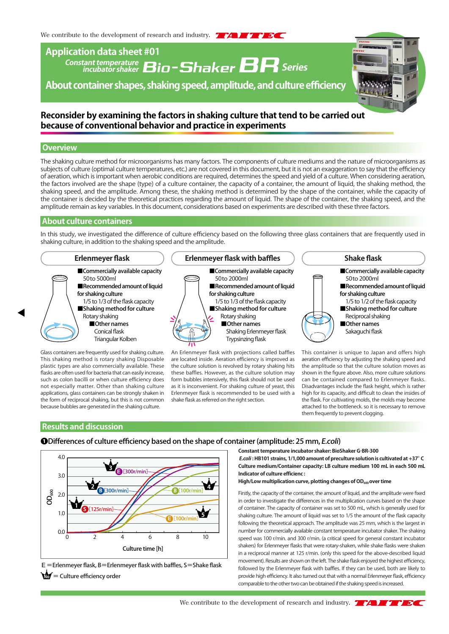



## **Reconsider by examining the factors in shaking culture that tend to be carried out because of conventional behavior and practice in experiments**

## **Overview**

The shaking culture method for microorganisms has many factors. The components of culture mediums and the nature of microorganisms as subjects of culture (optimal culture temperatures, etc.) are not covered in this document, but it is not an exaggeration to say that the efficiency of aeration, which is important when aerobic conditions are required, determines the speed and yield of a culture. When considering aeration, the factors involved are the shape (type) of a culture container, the capacity of a container, the amount of liquid, the shaking method, the shaking speed, and the amplitude. Among these, the shaking method is determined by the shape of the container, while the capacity of the container is decided by the theoretical practices regarding the amount of liquid. The shape of the container, the shaking speed, and the amplitude remain as key variables. In this document, considerations based on experiments are described with these three factors.

## **About culture containers**

In this study, we investigated the difference of culture efficiency based on the following three glass containers that are frequently used in shaking culture, in addition to the shaking speed and the amplitude.



This shaking method is rotary shaking Disposable plastic types are also commercially available. These flasks are often used for bacteria that can easily increase, such as colon bacilli or when culture efficiency does not especially matter. Other than shaking culture applications, glass containers can be strongly shaken in the form of reciprocal shaking, but this is not common because bubbles are generated in the shaking culture.

## are located inside. Aeration efficiency is improved as the culture solution is revolved by rotary shaking hits these baffles. However, as the culture solution may form bubbles intensively, this flask should not be used as it is inconvenient. For shaking culture of yeast, this Erlenmeyer flask is recommended to be used with a shake flask as referred on the right section.

aeration efficiency by adjusting the shaking speed and the amplitude so that the culture solution moves as shown in the figure above. Also, more culture solutions can be contained compared to Erlenmeyer flasks. Disadvantages include the flask height, which is rather high for its capacity, and difficult to clean the insides of the flask. For cultivating molds, the molds may become attached to the bottleneck. so it is necessary to remove them frequently to prevent clogging.

## **Results and discussion**



❶Differences of culture efficiency based on the shape of container (amplitude: 25 mm, E.coli)

**Constant temperature incubator shaker: BioShaker G·BR-300 E.coli : HB101 strains, 1/1,000 amount of preculture solution is cultivated at +37°C Culture medium/Container capacity: LB culture medium 100 mL in each 500 mL Indicator of culture efficienc :** 

#### High/Low multiplication curve, plotting changes of OD<sub>600</sub> over time

Firstly, the capacity of the container, the amount of liquid, and the amplitude were fixed in order to investigate the differences in the multiplication curves based on the shape of container. The capacity of container was set to 500 mL, which is generally used for shaking culture. The amount of liquid was set to 1/5 the amount of the flask capacity following the theoretical approach. The amplitude was 25 mm, which is the largest in number for commercially available constant temperature incubator shaker. The shaking speed was 100 r/min. and 300 r/min. (a critical speed for general constant incubator shakers) for Erlenmeyer flasks that were rotary-shaken, while shake flasks were shaken in a reciprocal manner at 125 r/min. (only this speed for the above-described liquid movement). Results are shown on the left. The shake flask enjoyed the highest efficiency, followed by the Erlenmeyer flask with baffles. If they can be used, both are likely to provide high efficiency. It also turned out that with a normal Erlenmeyer flask, efficiency comparable to the other two can be obtained if the shaking speed is increased.

 $E =$ Erlenmeyer flask, B = Erlenmeyer flask with baffles, S = Shake flask **No** $\bullet$  **= Culture efficiency order**